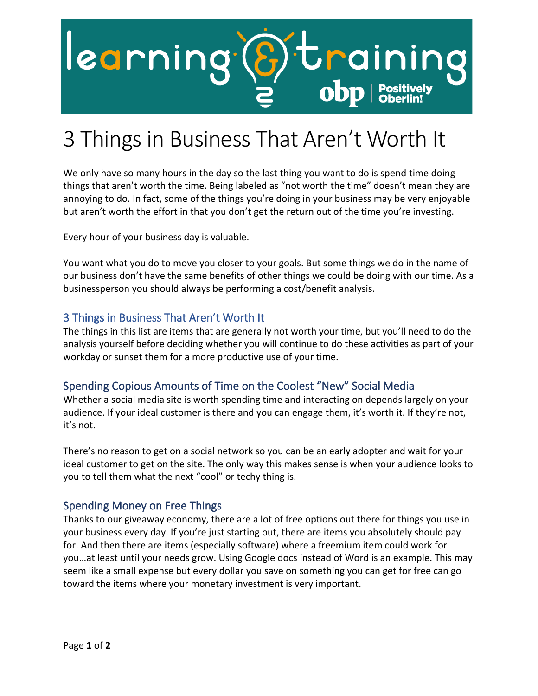

# 3 Things in Business That Aren't Worth It

We only have so many hours in the day so the last thing you want to do is spend time doing things that aren't worth the time. Being labeled as "not worth the time" doesn't mean they are annoying to do. In fact, some of the things you're doing in your business may be very enjoyable but aren't worth the effort in that you don't get the return out of the time you're investing.

Every hour of your business day is valuable.

You want what you do to move you closer to your goals. But some things we do in the name of our business don't have the same benefits of other things we could be doing with our time. As a businessperson you should always be performing a cost/benefit analysis.

#### 3 Things in Business That Aren't Worth It

The things in this list are items that are generally not worth your time, but you'll need to do the analysis yourself before deciding whether you will continue to do these activities as part of your workday or sunset them for a more productive use of your time.

### Spending Copious Amounts of Time on the Coolest "New" Social Media

Whether a social media site is worth spending time and interacting on depends largely on your audience. If your ideal customer is there and you can engage them, it's worth it. If they're not, it's not.

There's no reason to get on a social network so you can be an early adopter and wait for your ideal customer to get on the site. The only way this makes sense is when your audience looks to you to tell them what the next "cool" or techy thing is.

#### Spending Money on Free Things

Thanks to our giveaway economy, there are a lot of free options out there for things you use in your business every day. If you're just starting out, there are items you absolutely should pay for. And then there are items (especially software) where a freemium item could work for you…at least until your needs grow. Using Google docs instead of Word is an example. This may seem like a small expense but every dollar you save on something you can get for free can go toward the items where your monetary investment is very important.